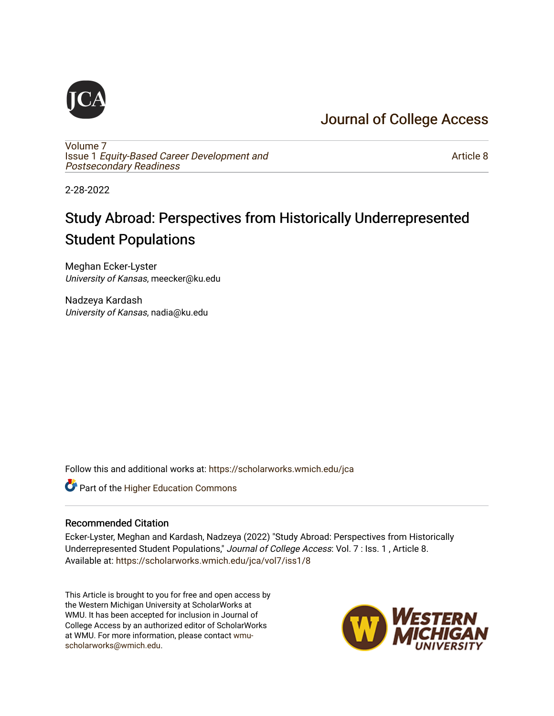## [Journal of College Access](https://scholarworks.wmich.edu/jca)



[Volume 7](https://scholarworks.wmich.edu/jca/vol7) Issue 1 [Equity-Based Career Development and](https://scholarworks.wmich.edu/jca/vol7/iss1) [Postsecondary Readiness](https://scholarworks.wmich.edu/jca/vol7/iss1) 

[Article 8](https://scholarworks.wmich.edu/jca/vol7/iss1/8) 

2-28-2022

## Study Abroad: Perspectives from Historically Underrepresented Student Populations

Meghan Ecker-Lyster University of Kansas, meecker@ku.edu

Nadzeya Kardash University of Kansas, nadia@ku.edu

Follow this and additional works at: [https://scholarworks.wmich.edu/jca](https://scholarworks.wmich.edu/jca?utm_source=scholarworks.wmich.edu%2Fjca%2Fvol7%2Fiss1%2F8&utm_medium=PDF&utm_campaign=PDFCoverPages)

Part of the [Higher Education Commons](http://network.bepress.com/hgg/discipline/1245?utm_source=scholarworks.wmich.edu%2Fjca%2Fvol7%2Fiss1%2F8&utm_medium=PDF&utm_campaign=PDFCoverPages) 

#### Recommended Citation

Ecker-Lyster, Meghan and Kardash, Nadzeya (2022) "Study Abroad: Perspectives from Historically Underrepresented Student Populations," Journal of College Access: Vol. 7: Iss. 1, Article 8. Available at: [https://scholarworks.wmich.edu/jca/vol7/iss1/8](https://scholarworks.wmich.edu/jca/vol7/iss1/8?utm_source=scholarworks.wmich.edu%2Fjca%2Fvol7%2Fiss1%2F8&utm_medium=PDF&utm_campaign=PDFCoverPages) 

This Article is brought to you for free and open access by the Western Michigan University at ScholarWorks at WMU. It has been accepted for inclusion in Journal of College Access by an authorized editor of ScholarWorks at WMU. For more information, please contact [wmu](mailto:wmu-scholarworks@wmich.edu)[scholarworks@wmich.edu.](mailto:wmu-scholarworks@wmich.edu)

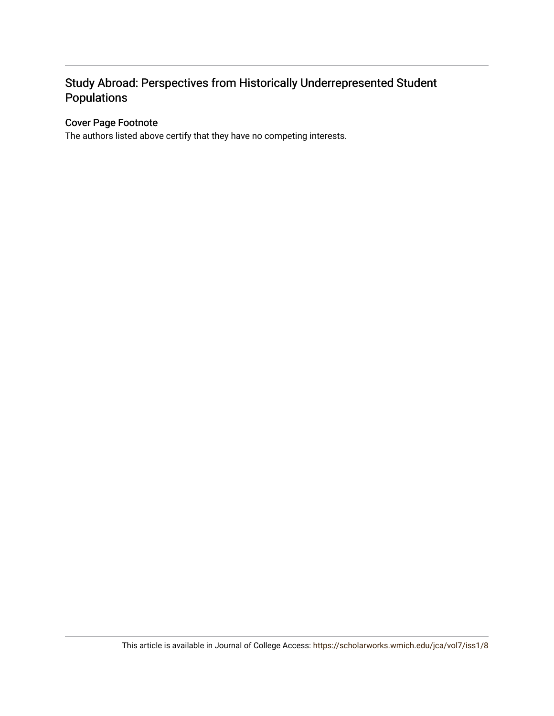## Study Abroad: Perspectives from Historically Underrepresented Student Populations

#### Cover Page Footnote

The authors listed above certify that they have no competing interests.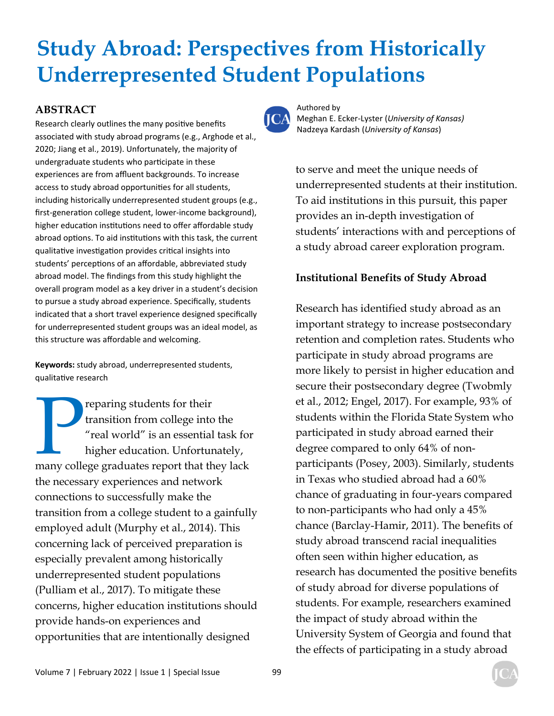# **Study Abroad: Perspectives from Historically Underrepresented Student Populations**

### **ABSTRACT**

Research clearly outlines the many positive benefits associated with study abroad programs (e.g., Arghode et al., 2020; Jiang et al., 2019). Unfortunately, the majority of undergraduate students who participate in these experiences are from affluent backgrounds. To increase access to study abroad opportunities for all students, including historically underrepresented student groups (e.g., first-generation college student, lower-income background), higher education institutions need to offer affordable study abroad options. To aid institutions with this task, the current qualitative investigation provides critical insights into students' perceptions of an affordable, abbreviated study abroad model. The findings from this study highlight the overall program model as a key driver in a student's decision to pursue a study abroad experience. Specifically, students indicated that a short travel experience designed specifically for underrepresented student groups was an ideal model, as this structure was affordable and welcoming.

**Keywords:** study abroad, underrepresented students, qualitative research

**Preparing students for their<br>
transition from college into the<br>
"real world" is an essential task for<br>
higher education. Unfortunately,<br>
many college graduates report that they lack** transition from college into the "real world" is an essential task for higher education. Unfortunately, the necessary experiences and network connections to successfully make the transition from a college student to a gainfully employed adult (Murphy et al., 2014). This concerning lack of perceived preparation is especially prevalent among historically underrepresented student populations (Pulliam et al., 2017). To mitigate these concerns, higher education institutions should provide hands-on experiences and opportunities that are intentionally designed



Authored by Meghan E. Ecker-Lyster (*University of Kansas)* Nadzeya Kardash (*University of Kansas*)

to serve and meet the unique needs of underrepresented students at their institution. To aid institutions in this pursuit, this paper provides an in-depth investigation of students' interactions with and perceptions of a study abroad career exploration program.

#### **Institutional Benefits of Study Abroad**

Research has identified study abroad as an important strategy to increase postsecondary retention and completion rates. Students who participate in study abroad programs are more likely to persist in higher education and secure their postsecondary degree (Twobmly et al., 2012; Engel, 2017). For example, 93% of students within the Florida State System who participated in study abroad earned their degree compared to only 64% of nonparticipants (Posey, 2003). Similarly, students in Texas who studied abroad had a 60% chance of graduating in four-years compared to non-participants who had only a 45% chance (Barclay-Hamir, 2011). The benefits of study abroad transcend racial inequalities often seen within higher education, as research has documented the positive benefits of study abroad for diverse populations of students. For example, researchers examined the impact of study abroad within the University System of Georgia and found that the effects of participating in a study abroad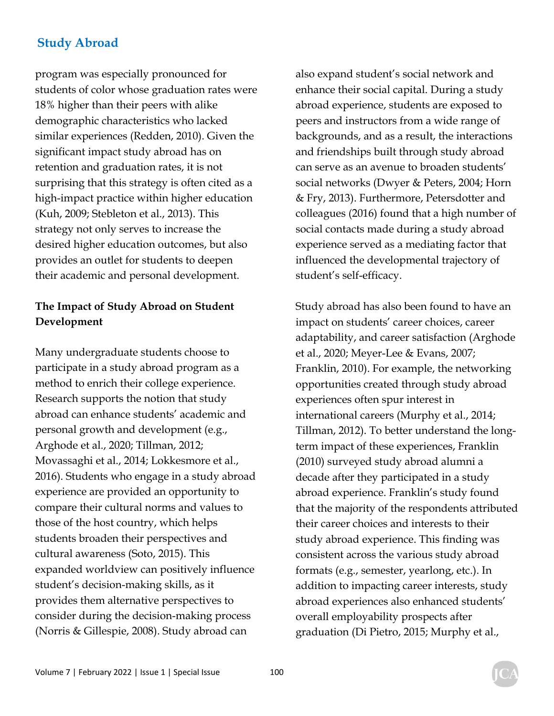program was especially pronounced for students of color whose graduation rates were 18% higher than their peers with alike demographic characteristics who lacked similar experiences (Redden, 2010). Given the significant impact study abroad has on retention and graduation rates, it is not surprising that this strategy is often cited as a high-impact practice within higher education (Kuh, 2009; Stebleton et al., 2013). This strategy not only serves to increase the desired higher education outcomes, but also provides an outlet for students to deepen their academic and personal development.

## **The Impact of Study Abroad on Student Development**

Many undergraduate students choose to participate in a study abroad program as a method to enrich their college experience. Research supports the notion that study abroad can enhance students' academic and personal growth and development (e.g., Arghode et al., 2020; Tillman, 2012; Movassaghi et al., 2014; Lokkesmore et al., 2016). Students who engage in a study abroad experience are provided an opportunity to compare their cultural norms and values to those of the host country, which helps students broaden their perspectives and cultural awareness (Soto, 2015). This expanded worldview can positively influence student's decision-making skills, as it provides them alternative perspectives to consider during the decision-making process (Norris & Gillespie, 2008). Study abroad can

also expand student's social network and enhance their social capital. During a study abroad experience, students are exposed to peers and instructors from a wide range of backgrounds, and as a result, the interactions and friendships built through study abroad can serve as an avenue to broaden students' social networks (Dwyer & Peters, 2004; Horn & Fry, 2013). Furthermore, Petersdotter and colleagues (2016) found that a high number of social contacts made during a study abroad experience served as a mediating factor that influenced the developmental trajectory of student's self-efficacy.

Study abroad has also been found to have an impact on students' career choices, career adaptability, and career satisfaction (Arghode et al., 2020; Meyer-Lee & Evans, 2007; Franklin, 2010). For example, the networking opportunities created through study abroad experiences often spur interest in international careers (Murphy et al., 2014; Tillman, 2012). To better understand the longterm impact of these experiences, Franklin (2010) surveyed study abroad alumni a decade after they participated in a study abroad experience. Franklin's study found that the majority of the respondents attributed their career choices and interests to their study abroad experience. This finding was consistent across the various study abroad formats (e.g., semester, yearlong, etc.). In addition to impacting career interests, study abroad experiences also enhanced students' overall employability prospects after graduation (Di Pietro, 2015; Murphy et al.,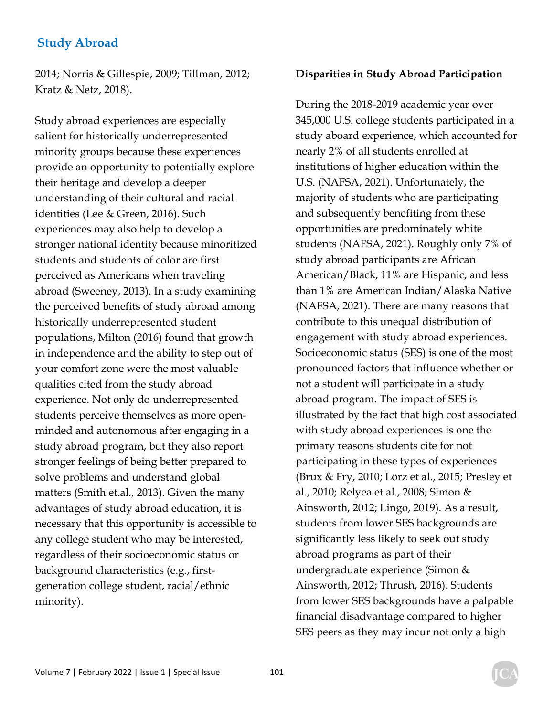2014; Norris & Gillespie, 2009; Tillman, 2012; Kratz & Netz, 2018).

Study abroad experiences are especially salient for historically underrepresented minority groups because these experiences provide an opportunity to potentially explore their heritage and develop a deeper understanding of their cultural and racial identities (Lee & Green, 2016). Such experiences may also help to develop a stronger national identity because minoritized students and students of color are first perceived as Americans when traveling abroad (Sweeney, 2013). In a study examining the perceived benefits of study abroad among historically underrepresented student populations, Milton (2016) found that growth in independence and the ability to step out of your comfort zone were the most valuable qualities cited from the study abroad experience. Not only do underrepresented students perceive themselves as more openminded and autonomous after engaging in a study abroad program, but they also report stronger feelings of being better prepared to solve problems and understand global matters (Smith et.al., 2013). Given the many advantages of study abroad education, it is necessary that this opportunity is accessible to any college student who may be interested, regardless of their socioeconomic status or background characteristics (e.g., firstgeneration college student, racial/ethnic minority).

#### **Disparities in Study Abroad Participation**

During the 2018-2019 academic year over 345,000 U.S. college students participated in a study aboard experience, which accounted for nearly 2% of all students enrolled at institutions of higher education within the U.S. (NAFSA, 2021). Unfortunately, the majority of students who are participating and subsequently benefiting from these opportunities are predominately white students (NAFSA, 2021). Roughly only 7% of study abroad participants are African American/Black, 11% are Hispanic, and less than 1% are American Indian/Alaska Native (NAFSA, 2021). There are many reasons that contribute to this unequal distribution of engagement with study abroad experiences. Socioeconomic status (SES) is one of the most pronounced factors that influence whether or not a student will participate in a study abroad program. The impact of SES is illustrated by the fact that high cost associated with study abroad experiences is one the primary reasons students cite for not participating in these types of experiences (Brux & Fry, 2010; Lörz et al., 2015; Presley et al., 2010; Relyea et al., 2008; Simon & Ainsworth, 2012; Lingo, 2019). As a result, students from lower SES backgrounds are significantly less likely to seek out study abroad programs as part of their undergraduate experience (Simon & Ainsworth, 2012; Thrush, 2016). Students from lower SES backgrounds have a palpable financial disadvantage compared to higher SES peers as they may incur not only a high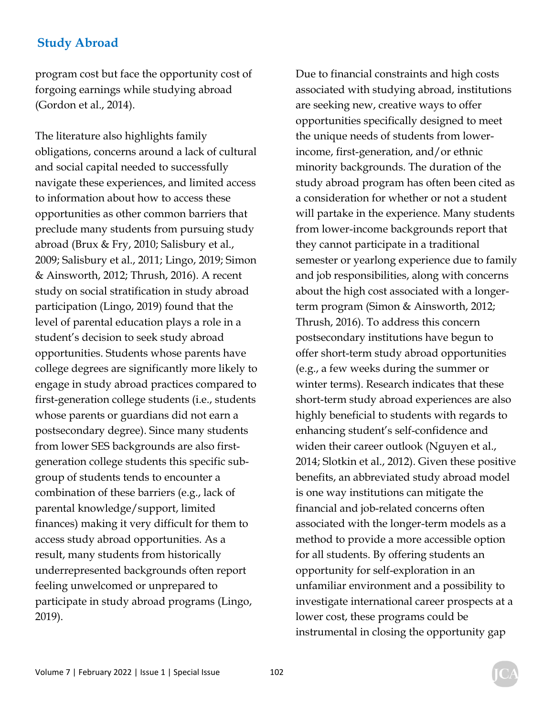program cost but face the opportunity cost of forgoing earnings while studying abroad (Gordon et al., 2014).

The literature also highlights family obligations, concerns around a lack of cultural and social capital needed to successfully navigate these experiences, and limited access to information about how to access these opportunities as other common barriers that preclude many students from pursuing study abroad (Brux & Fry, 2010; Salisbury et al., 2009; Salisbury et al., 2011; Lingo, 2019; Simon & Ainsworth, 2012; Thrush, 2016). A recent study on social stratification in study abroad participation (Lingo, 2019) found that the level of parental education plays a role in a student's decision to seek study abroad opportunities. Students whose parents have college degrees are significantly more likely to engage in study abroad practices compared to first-generation college students (i.e., students whose parents or guardians did not earn a postsecondary degree). Since many students from lower SES backgrounds are also firstgeneration college students this specific subgroup of students tends to encounter a combination of these barriers (e.g., lack of parental knowledge/support, limited finances) making it very difficult for them to access study abroad opportunities. As a result, many students from historically underrepresented backgrounds often report feeling unwelcomed or unprepared to participate in study abroad programs (Lingo, 2019).

Due to financial constraints and high costs associated with studying abroad, institutions are seeking new, creative ways to offer opportunities specifically designed to meet the unique needs of students from lowerincome, first-generation, and/or ethnic minority backgrounds. The duration of the study abroad program has often been cited as a consideration for whether or not a student will partake in the experience. Many students from lower-income backgrounds report that they cannot participate in a traditional semester or yearlong experience due to family and job responsibilities, along with concerns about the high cost associated with a longerterm program (Simon & Ainsworth, 2012; Thrush, 2016). To address this concern postsecondary institutions have begun to offer short-term study abroad opportunities (e.g., a few weeks during the summer or winter terms). Research indicates that these short-term study abroad experiences are also highly beneficial to students with regards to enhancing student's self-confidence and widen their career outlook (Nguyen et al., 2014; Slotkin et al., 2012). Given these positive benefits, an abbreviated study abroad model is one way institutions can mitigate the financial and job-related concerns often associated with the longer-term models as a method to provide a more accessible option for all students. By offering students an opportunity for self-exploration in an unfamiliar environment and a possibility to investigate international career prospects at a lower cost, these programs could be instrumental in closing the opportunity gap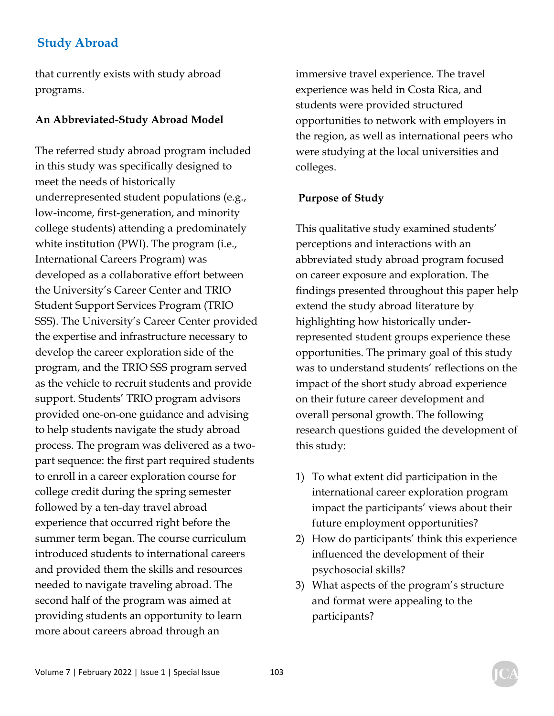that currently exists with study abroad programs.

#### **An Abbreviated-Study Abroad Model**

The referred study abroad program included in this study was specifically designed to meet the needs of historically underrepresented student populations (e.g., low-income, first-generation, and minority college students) attending a predominately white institution (PWI). The program (i.e., International Careers Program) was developed as a collaborative effort between the University's Career Center and TRIO Student Support Services Program (TRIO SSS). The University's Career Center provided the expertise and infrastructure necessary to develop the career exploration side of the program, and the TRIO SSS program served as the vehicle to recruit students and provide support. Students' TRIO program advisors provided one-on-one guidance and advising to help students navigate the study abroad process. The program was delivered as a twopart sequence: the first part required students to enroll in a career exploration course for college credit during the spring semester followed by a ten-day travel abroad experience that occurred right before the summer term began. The course curriculum introduced students to international careers and provided them the skills and resources needed to navigate traveling abroad. The second half of the program was aimed at providing students an opportunity to learn more about careers abroad through an

immersive travel experience. The travel experience was held in Costa Rica, and students were provided structured opportunities to network with employers in the region, as well as international peers who were studying at the local universities and colleges.

#### **Purpose of Study**

This qualitative study examined students' perceptions and interactions with an abbreviated study abroad program focused on career exposure and exploration. The findings presented throughout this paper help extend the study abroad literature by highlighting how historically underrepresented student groups experience these opportunities. The primary goal of this study was to understand students' reflections on the impact of the short study abroad experience on their future career development and overall personal growth. The following research questions guided the development of this study:

- 1) To what extent did participation in the international career exploration program impact the participants' views about their future employment opportunities?
- 2) How do participants' think this experience influenced the development of their psychosocial skills?
- 3) What aspects of the program's structure and format were appealing to the participants?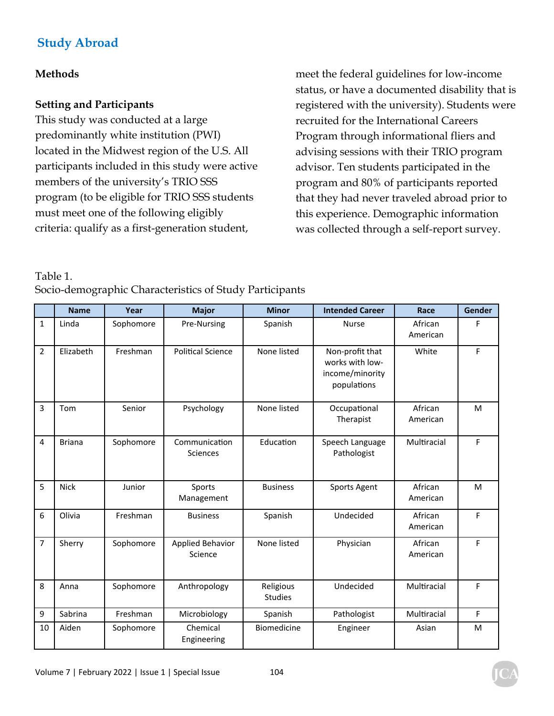#### **Methods**

#### **Setting and Participants**

This study was conducted at a large predominantly white institution (PWI) located in the Midwest region of the U.S. All participants included in this study were active members of the university's TRIO SSS program (to be eligible for TRIO SSS students must meet one of the following eligibly criteria: qualify as a first-generation student,

meet the federal guidelines for low-income status, or have a documented disability that is registered with the university). Students were recruited for the International Careers Program through informational fliers and advising sessions with their TRIO program advisor. Ten students participated in the program and 80% of participants reported that they had never traveled abroad prior to this experience. Demographic information was collected through a self-report survey.

Table 1.

|  | Socio-demographic Characteristics of Study Participants |  |
|--|---------------------------------------------------------|--|
|--|---------------------------------------------------------|--|

|                | <b>Name</b>   | Year      | <b>Major</b>                     | <b>Minor</b>                | <b>Intended Career</b>                                               | Race                | <b>Gender</b> |
|----------------|---------------|-----------|----------------------------------|-----------------------------|----------------------------------------------------------------------|---------------------|---------------|
| 1              | Linda         | Sophomore | Pre-Nursing                      | Spanish                     | <b>Nurse</b>                                                         | African<br>American | F             |
| $\overline{2}$ | Elizabeth     | Freshman  | <b>Political Science</b>         | None listed                 | Non-profit that<br>works with low-<br>income/minority<br>populations | White               | F             |
| 3              | Tom           | Senior    | Psychology                       | None listed                 | Occupational<br>Therapist                                            | African<br>American | M             |
| 4              | <b>Briana</b> | Sophomore | Communication<br><b>Sciences</b> | Education                   | Speech Language<br>Pathologist                                       | Multiracial         | F             |
| 5              | <b>Nick</b>   | Junior    | Sports<br>Management             | <b>Business</b>             | Sports Agent                                                         | African<br>American | M             |
| 6              | Olivia        | Freshman  | <b>Business</b>                  | Spanish                     | Undecided                                                            | African<br>American | F             |
| 7              | Sherry        | Sophomore | Applied Behavior<br>Science      | None listed                 | Physician                                                            | African<br>American | F             |
| 8              | Anna          | Sophomore | Anthropology                     | Religious<br><b>Studies</b> | Undecided                                                            | Multiracial         | F             |
| 9              | Sabrina       | Freshman  | Microbiology                     | Spanish                     | Pathologist                                                          | Multiracial         | F             |
| 10             | Aiden         | Sophomore | Chemical<br>Engineering          | Biomedicine                 | Engineer                                                             | Asian               | M             |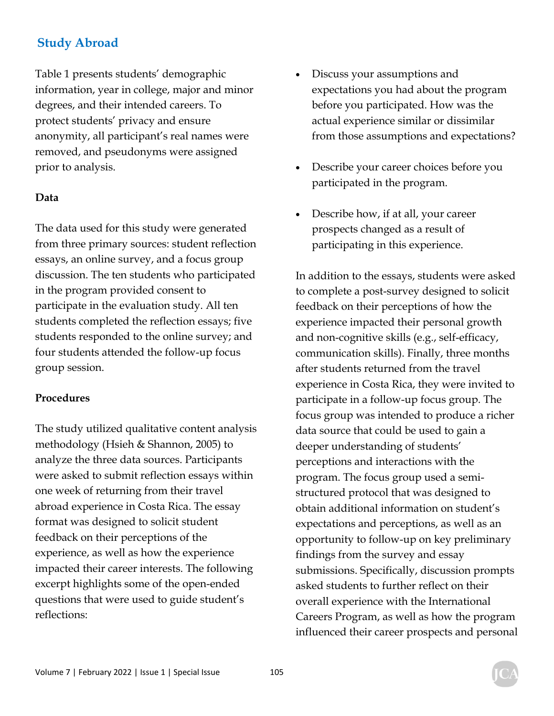Table 1 presents students' demographic information, year in college, major and minor degrees, and their intended careers. To protect students' privacy and ensure anonymity, all participant's real names were removed, and pseudonyms were assigned prior to analysis.

#### **Data**

The data used for this study were generated from three primary sources: student reflection essays, an online survey, and a focus group discussion. The ten students who participated in the program provided consent to participate in the evaluation study. All ten students completed the reflection essays; five students responded to the online survey; and four students attended the follow-up focus group session.

#### **Procedures**

The study utilized qualitative content analysis methodology (Hsieh & Shannon, 2005) to analyze the three data sources. Participants were asked to submit reflection essays within one week of returning from their travel abroad experience in Costa Rica. The essay format was designed to solicit student feedback on their perceptions of the experience, as well as how the experience impacted their career interests. The following excerpt highlights some of the open-ended questions that were used to guide student's reflections:

- Discuss your assumptions and expectations you had about the program before you participated. How was the actual experience similar or dissimilar from those assumptions and expectations?
- Describe your career choices before you participated in the program.
- Describe how, if at all, your career prospects changed as a result of participating in this experience.

In addition to the essays, students were asked to complete a post-survey designed to solicit feedback on their perceptions of how the experience impacted their personal growth and non-cognitive skills (e.g., self-efficacy, communication skills). Finally, three months after students returned from the travel experience in Costa Rica, they were invited to participate in a follow-up focus group. The focus group was intended to produce a richer data source that could be used to gain a deeper understanding of students' perceptions and interactions with the program. The focus group used a semistructured protocol that was designed to obtain additional information on student's expectations and perceptions, as well as an opportunity to follow-up on key preliminary findings from the survey and essay submissions. Specifically, discussion prompts asked students to further reflect on their overall experience with the International Careers Program, as well as how the program influenced their career prospects and personal

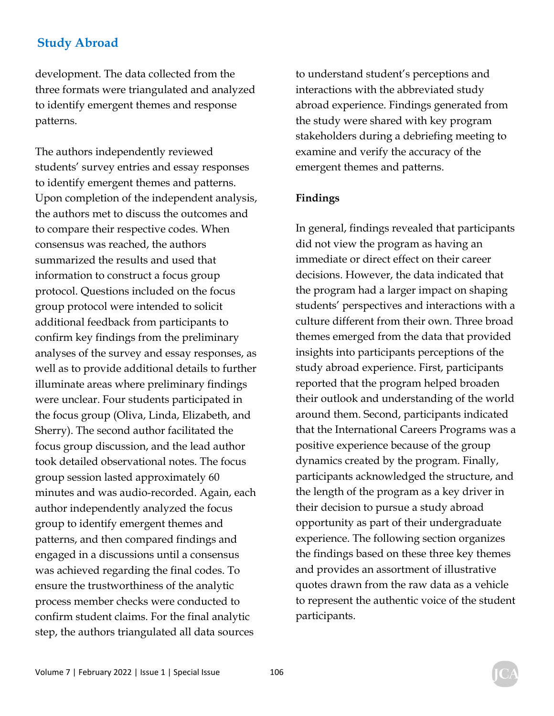development. The data collected from the three formats were triangulated and analyzed to identify emergent themes and response patterns.

The authors independently reviewed students' survey entries and essay responses to identify emergent themes and patterns. Upon completion of the independent analysis, the authors met to discuss the outcomes and to compare their respective codes. When consensus was reached, the authors summarized the results and used that information to construct a focus group protocol. Questions included on the focus group protocol were intended to solicit additional feedback from participants to confirm key findings from the preliminary analyses of the survey and essay responses, as well as to provide additional details to further illuminate areas where preliminary findings were unclear. Four students participated in the focus group (Oliva, Linda, Elizabeth, and Sherry). The second author facilitated the focus group discussion, and the lead author took detailed observational notes. The focus group session lasted approximately 60 minutes and was audio-recorded. Again, each author independently analyzed the focus group to identify emergent themes and patterns, and then compared findings and engaged in a discussions until a consensus was achieved regarding the final codes. To ensure the trustworthiness of the analytic process member checks were conducted to confirm student claims. For the final analytic step, the authors triangulated all data sources

to understand student's perceptions and interactions with the abbreviated study abroad experience. Findings generated from the study were shared with key program stakeholders during a debriefing meeting to examine and verify the accuracy of the emergent themes and patterns.

#### **Findings**

In general, findings revealed that participants did not view the program as having an immediate or direct effect on their career decisions. However, the data indicated that the program had a larger impact on shaping students' perspectives and interactions with a culture different from their own. Three broad themes emerged from the data that provided insights into participants perceptions of the study abroad experience. First, participants reported that the program helped broaden their outlook and understanding of the world around them. Second, participants indicated that the International Careers Programs was a positive experience because of the group dynamics created by the program. Finally, participants acknowledged the structure, and the length of the program as a key driver in their decision to pursue a study abroad opportunity as part of their undergraduate experience. The following section organizes the findings based on these three key themes and provides an assortment of illustrative quotes drawn from the raw data as a vehicle to represent the authentic voice of the student participants.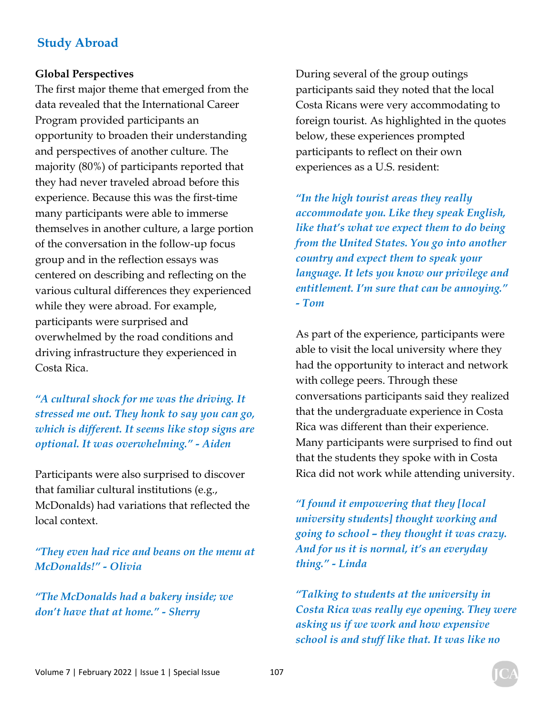#### **Global Perspectives**

The first major theme that emerged from the data revealed that the International Career Program provided participants an opportunity to broaden their understanding and perspectives of another culture. The majority (80%) of participants reported that they had never traveled abroad before this experience. Because this was the first-time many participants were able to immerse themselves in another culture, a large portion of the conversation in the follow-up focus group and in the reflection essays was centered on describing and reflecting on the various cultural differences they experienced while they were abroad. For example, participants were surprised and overwhelmed by the road conditions and driving infrastructure they experienced in Costa Rica.

*"A cultural shock for me was the driving. It stressed me out. They honk to say you can go, which is different. It seems like stop signs are optional. It was overwhelming." - Aiden* 

Participants were also surprised to discover that familiar cultural institutions (e.g., McDonalds) had variations that reflected the local context.

*"They even had rice and beans on the menu at McDonalds!" - Olivia* 

*"The McDonalds had a bakery inside; we don't have that at home." - Sherry* 

During several of the group outings participants said they noted that the local Costa Ricans were very accommodating to foreign tourist. As highlighted in the quotes below, these experiences prompted participants to reflect on their own experiences as a U.S. resident:

*"In the high tourist areas they really accommodate you. Like they speak English, like that's what we expect them to do being from the United States. You go into another country and expect them to speak your language. It lets you know our privilege and entitlement. I'm sure that can be annoying." - Tom* 

As part of the experience, participants were able to visit the local university where they had the opportunity to interact and network with college peers. Through these conversations participants said they realized that the undergraduate experience in Costa Rica was different than their experience. Many participants were surprised to find out that the students they spoke with in Costa Rica did not work while attending university.

*"I found it empowering that they [local university students] thought working and going to school – they thought it was crazy. And for us it is normal, it's an everyday thing." - Linda* 

*"Talking to students at the university in Costa Rica was really eye opening. They were asking us if we work and how expensive school is and stuff like that. It was like no*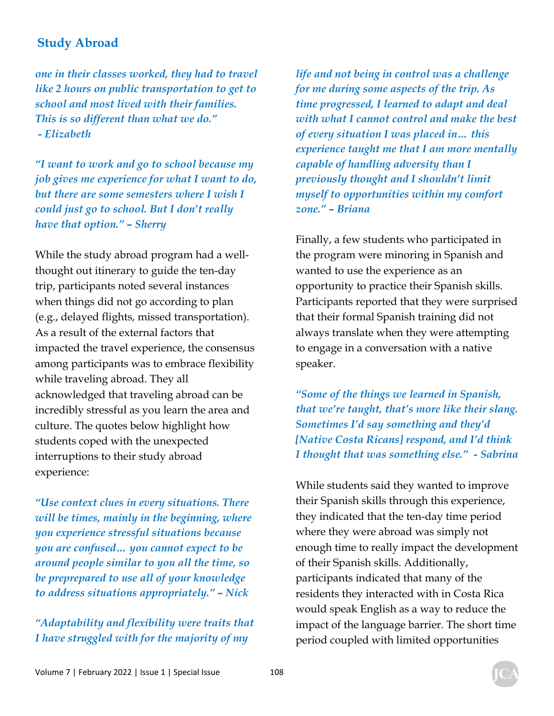*one in their classes worked, they had to travel like 2 hours on public transportation to get to school and most lived with their families. This is so different than what we do." - Elizabeth* 

*"I want to work and go to school because my job gives me experience for what I want to do, but there are some semesters where I wish I could just go to school. But I don't really have that option." – Sherry* 

While the study abroad program had a wellthought out itinerary to guide the ten-day trip, participants noted several instances when things did not go according to plan (e.g., delayed flights, missed transportation). As a result of the external factors that impacted the travel experience, the consensus among participants was to embrace flexibility while traveling abroad. They all acknowledged that traveling abroad can be incredibly stressful as you learn the area and culture. The quotes below highlight how students coped with the unexpected interruptions to their study abroad experience:

*"Use context clues in every situations. There will be times, mainly in the beginning, where you experience stressful situations because you are confused… you cannot expect to be around people similar to you all the time, so be preprepared to use all of your knowledge to address situations appropriately." – Nick* 

*"Adaptability and flexibility were traits that I have struggled with for the majority of my* 

*life and not being in control was a challenge for me during some aspects of the trip. As time progressed, I learned to adapt and deal with what I cannot control and make the best of every situation I was placed in… this experience taught me that I am more mentally capable of handling adversity than I previously thought and I shouldn't limit myself to opportunities within my comfort zone." – Briana* 

Finally, a few students who participated in the program were minoring in Spanish and wanted to use the experience as an opportunity to practice their Spanish skills. Participants reported that they were surprised that their formal Spanish training did not always translate when they were attempting to engage in a conversation with a native speaker.

*"Some of the things we learned in Spanish, that we're taught, that's more like their slang. Sometimes I'd say something and they'd [Native Costa Ricans] respond, and I'd think I thought that was something else." - Sabrina* 

While students said they wanted to improve their Spanish skills through this experience, they indicated that the ten-day time period where they were abroad was simply not enough time to really impact the development of their Spanish skills. Additionally, participants indicated that many of the residents they interacted with in Costa Rica would speak English as a way to reduce the impact of the language barrier. The short time period coupled with limited opportunities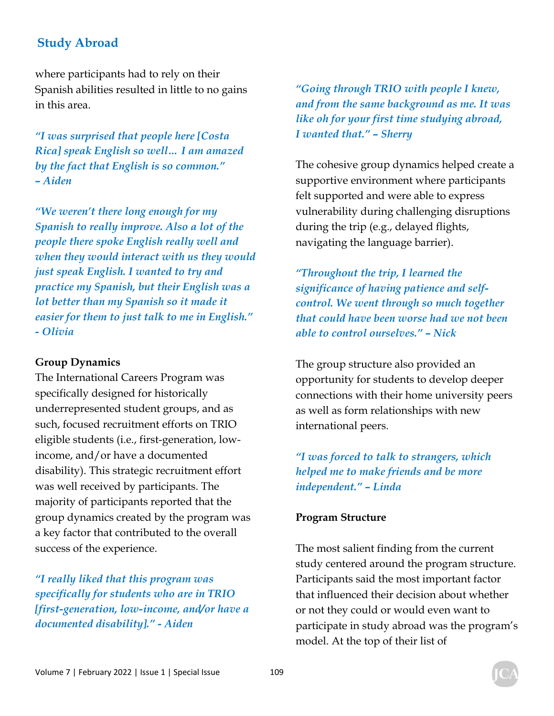where participants had to rely on their Spanish abilities resulted in little to no gains in this area.

*"I was surprised that people here [Costa Rica] speak English so well… I am amazed by the fact that English is so common." – Aiden* 

*"We weren't there long enough for my Spanish to really improve. Also a lot of the people there spoke English really well and when they would interact with us they would just speak English. I wanted to try and practice my Spanish, but their English was a lot better than my Spanish so it made it easier for them to just talk to me in English." - Olivia* 

#### **Group Dynamics**

The International Careers Program was specifically designed for historically underrepresented student groups, and as such, focused recruitment efforts on TRIO eligible students (i.e., first-generation, lowincome, and/or have a documented disability). This strategic recruitment effort was well received by participants. The majority of participants reported that the group dynamics created by the program was a key factor that contributed to the overall success of the experience.

*"I really liked that this program was specifically for students who are in TRIO [first-generation, low-income, and/or have a documented disability]." - Aiden* 

*"Going through TRIO with people I knew, and from the same background as me. It was like oh for your first time studying abroad, I wanted that." – Sherry* 

The cohesive group dynamics helped create a supportive environment where participants felt supported and were able to express vulnerability during challenging disruptions during the trip (e.g., delayed flights, navigating the language barrier).

*"Throughout the trip, I learned the significance of having patience and selfcontrol. We went through so much together that could have been worse had we not been able to control ourselves." – Nick* 

The group structure also provided an opportunity for students to develop deeper connections with their home university peers as well as form relationships with new international peers.

*"I was forced to talk to strangers, which helped me to make friends and be more independent." – Linda* 

#### **Program Structure**

The most salient finding from the current study centered around the program structure. Participants said the most important factor that influenced their decision about whether or not they could or would even want to participate in study abroad was the program's model. At the top of their list of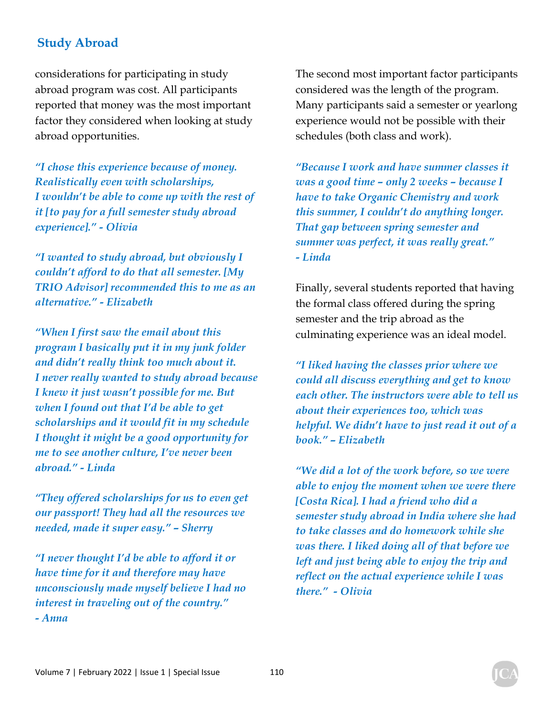considerations for participating in study abroad program was cost. All participants reported that money was the most important factor they considered when looking at study abroad opportunities.

*"I chose this experience because of money. Realistically even with scholarships, I wouldn't be able to come up with the rest of it [to pay for a full semester study abroad experience]." - Olivia* 

*"I wanted to study abroad, but obviously I couldn't afford to do that all semester. [My TRIO Advisor] recommended this to me as an alternative." - Elizabeth* 

*"When I first saw the email about this program I basically put it in my junk folder and didn't really think too much about it. I never really wanted to study abroad because I knew it just wasn't possible for me. But when I found out that I'd be able to get scholarships and it would fit in my schedule I thought it might be a good opportunity for me to see another culture, I've never been abroad." - Linda* 

*"They offered scholarships for us to even get our passport! They had all the resources we needed, made it super easy." – Sherry* 

*"I never thought I'd be able to afford it or have time for it and therefore may have unconsciously made myself believe I had no interest in traveling out of the country." - Anna* 

The second most important factor participants considered was the length of the program. Many participants said a semester or yearlong experience would not be possible with their schedules (both class and work).

*"Because I work and have summer classes it was a good time – only 2 weeks – because I have to take Organic Chemistry and work this summer, I couldn't do anything longer. That gap between spring semester and summer was perfect, it was really great." - Linda* 

Finally, several students reported that having the formal class offered during the spring semester and the trip abroad as the culminating experience was an ideal model.

*"I liked having the classes prior where we could all discuss everything and get to know each other. The instructors were able to tell us about their experiences too, which was helpful. We didn't have to just read it out of a book." – Elizabeth* 

*"We did a lot of the work before, so we were able to enjoy the moment when we were there [Costa Rica]. I had a friend who did a semester study abroad in India where she had to take classes and do homework while she was there. I liked doing all of that before we left and just being able to enjoy the trip and reflect on the actual experience while I was there." - Olivia*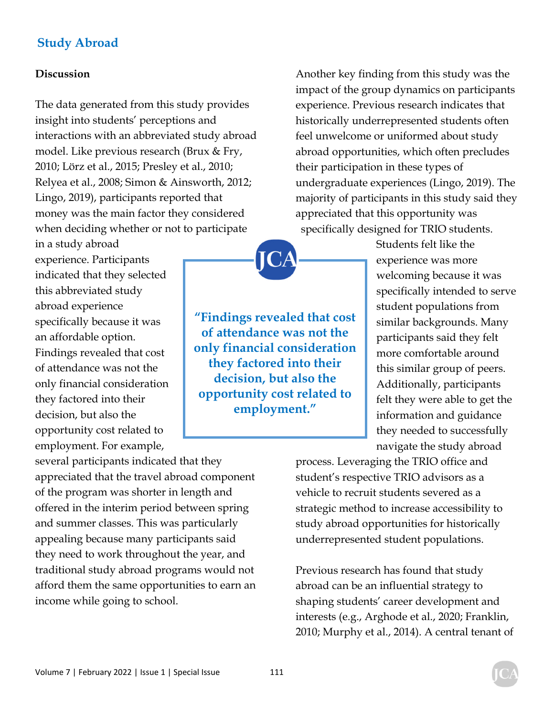#### **Discussion**

The data generated from this study provides insight into students' perceptions and interactions with an abbreviated study abroad model. Like previous research (Brux & Fry, 2010; Lörz et al., 2015; Presley et al., 2010; Relyea et al., 2008; Simon & Ainsworth, 2012; Lingo, 2019), participants reported that money was the main factor they considered when deciding whether or not to participate

in a study abroad experience. Participants indicated that they selected this abbreviated study abroad experience specifically because it was an affordable option. Findings revealed that cost of attendance was not the only financial consideration they factored into their decision, but also the opportunity cost related to employment. For example,

several participants indicated that they appreciated that the travel abroad component of the program was shorter in length and offered in the interim period between spring and summer classes. This was particularly appealing because many participants said they need to work throughout the year, and traditional study abroad programs would not afford them the same opportunities to earn an income while going to school.

Another key finding from this study was the impact of the group dynamics on participants experience. Previous research indicates that historically underrepresented students often feel unwelcome or uniformed about study abroad opportunities, which often precludes their participation in these types of undergraduate experiences (Lingo, 2019). The majority of participants in this study said they appreciated that this opportunity was specifically designed for TRIO students.

> Students felt like the experience was more welcoming because it was specifically intended to serve student populations from similar backgrounds. Many participants said they felt more comfortable around this similar group of peers. Additionally, participants felt they were able to get the information and guidance they needed to successfully navigate the study abroad

process. Leveraging the TRIO office and student's respective TRIO advisors as a vehicle to recruit students severed as a strategic method to increase accessibility to study abroad opportunities for historically underrepresented student populations.

Previous research has found that study abroad can be an influential strategy to shaping students' career development and interests (e.g., Arghode et al., 2020; Franklin, 2010; Murphy et al., 2014). A central tenant of

**"Findings revealed that cost of attendance was not the only financial consideration they factored into their decision, but also the opportunity cost related to employment."** 

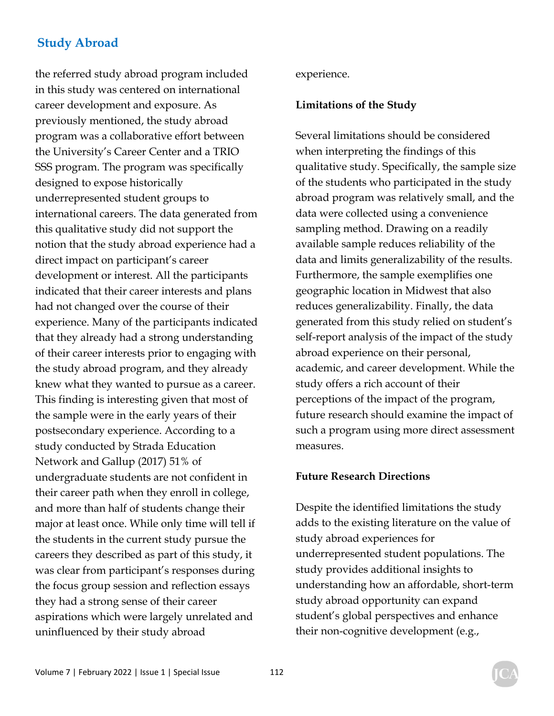the referred study abroad program included in this study was centered on international career development and exposure. As previously mentioned, the study abroad program was a collaborative effort between the University's Career Center and a TRIO SSS program. The program was specifically designed to expose historically underrepresented student groups to international careers. The data generated from this qualitative study did not support the notion that the study abroad experience had a direct impact on participant's career development or interest. All the participants indicated that their career interests and plans had not changed over the course of their experience. Many of the participants indicated that they already had a strong understanding of their career interests prior to engaging with the study abroad program, and they already knew what they wanted to pursue as a career. This finding is interesting given that most of the sample were in the early years of their postsecondary experience. According to a study conducted by Strada Education Network and Gallup (2017) 51% of undergraduate students are not confident in their career path when they enroll in college, and more than half of students change their major at least once. While only time will tell if the students in the current study pursue the careers they described as part of this study, it was clear from participant's responses during the focus group session and reflection essays they had a strong sense of their career aspirations which were largely unrelated and uninfluenced by their study abroad

experience.

#### **Limitations of the Study**

Several limitations should be considered when interpreting the findings of this qualitative study. Specifically, the sample size of the students who participated in the study abroad program was relatively small, and the data were collected using a convenience sampling method. Drawing on a readily available sample reduces reliability of the data and limits generalizability of the results. Furthermore, the sample exemplifies one geographic location in Midwest that also reduces generalizability. Finally, the data generated from this study relied on student's self-report analysis of the impact of the study abroad experience on their personal, academic, and career development. While the study offers a rich account of their perceptions of the impact of the program, future research should examine the impact of such a program using more direct assessment measures.

#### **Future Research Directions**

Despite the identified limitations the study adds to the existing literature on the value of study abroad experiences for underrepresented student populations. The study provides additional insights to understanding how an affordable, short-term study abroad opportunity can expand student's global perspectives and enhance their non-cognitive development (e.g.,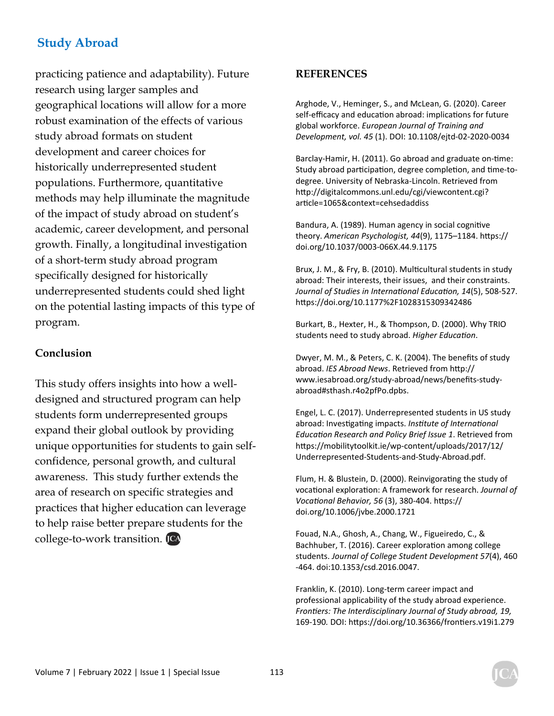practicing patience and adaptability). Future research using larger samples and geographical locations will allow for a more robust examination of the effects of various study abroad formats on student development and career choices for historically underrepresented student populations. Furthermore, quantitative methods may help illuminate the magnitude of the impact of study abroad on student's academic, career development, and personal growth. Finally, a longitudinal investigation of a short-term study abroad program specifically designed for historically underrepresented students could shed light on the potential lasting impacts of this type of program.

#### **Conclusion**

This study offers insights into how a welldesigned and structured program can help students form underrepresented groups expand their global outlook by providing unique opportunities for students to gain selfconfidence, personal growth, and cultural awareness. This study further extends the area of research on specific strategies and practices that higher education can leverage to help raise better prepare students for the college-to-work transition.

#### **REFERENCES**

Arghode, V., Heminger, S., and McLean, G. (2020). Career self-efficacy and education abroad: implications for future global workforce. *European Journal of Training and Development, vol. 45* (1). DOI: 10.1108/ejtd-02-2020-0034

Barclay-Hamir, H. (2011). Go abroad and graduate on-time: Study abroad participation, degree completion, and time-todegree. University of Nebraska-Lincoln. Retrieved from http://digitalcommons.unl.edu/cgi/viewcontent.cgi? article=1065&context=cehsedaddiss

Bandura, A. (1989). Human agency in social cognitive theory. *American Psychologist, 44*(9), 1175–1184. hƩps:// doi.org/10.1037/0003-066X.44.9.1175

Brux, J. M., & Fry, B. (2010). Multicultural students in study abroad: Their interests, their issues, and their constraints. *Journal of Studies in International Education, 14(5), 508-527.* https://doi.org/10.1177%2F1028315309342486

Burkart, B., Hexter, H., & Thompson, D. (2000). Why TRIO students need to study abroad. Higher Education.

Dwyer, M. M., & Peters, C. K. (2004). The benefits of study abroad. *IES Abroad News*. Retrieved from http:// www.iesabroad.org/study-abroad/news/benefits-studyabroad#sthash.r4o2pfPo.dpbs.

Engel, L. C. (2017). Underrepresented students in US study abroad: Investigating impacts. *Institute of International EducaƟon Research and Policy Brief Issue 1*. Retrieved from https://mobilitytoolkit.ie/wp-content/uploads/2017/12/ Underrepresented-Students-and-Study-Abroad.pdf.

Flum, H. & Blustein, D. (2000). Reinvigorating the study of vocational exploration: A framework for research. *Journal of VocaƟonal Behavior, 56* (3), 380-404. hƩps:// doi.org/10.1006/jvbe.2000.1721

Fouad, N.A., Ghosh, A., Chang, W., Figueiredo, C., & Bachhuber, T. (2016). Career exploration among college students. *Journal of College Student Development 57*(4), 460 -464. doi:10.1353/csd.2016.0047.

Franklin, K. (2010). Long-term career impact and professional applicability of the study abroad experience. *FronƟers: The Interdisciplinary Journal of Study abroad, 19,*  169-190*.* DOI: hƩps://doi.org/10.36366/fronƟers.v19i1.279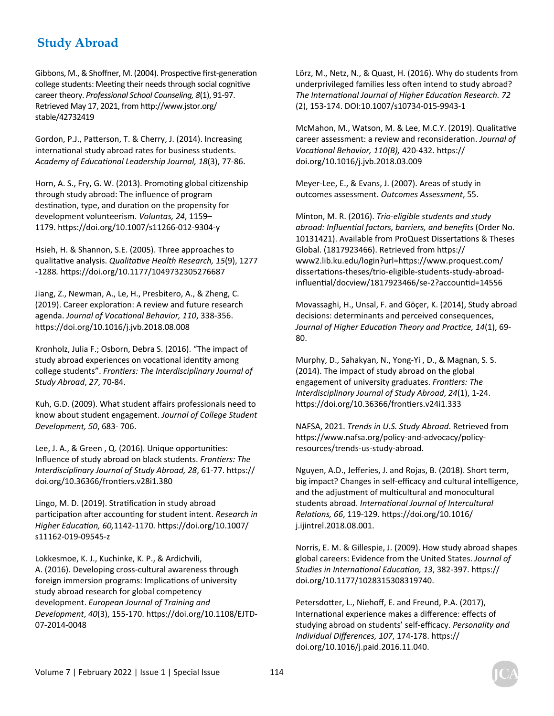Gibbons, M., & Shoffner, M. (2004). Prospective first-generation college students: Meeting their needs through social cognitive career theory. *Professional School Counseling, 8*(1), 91-97. Retrieved May 17, 2021, from http://www.jstor.org/ stable/42732419

Gordon, P.J., Patterson, T. & Cherry, J. (2014). Increasing international study abroad rates for business students. *Academy of EducaƟonal Leadership Journal, 18*(3), 77-86.

Horn, A. S., Fry, G. W. (2013). Promoting global citizenship through study abroad: The influence of program destination, type, and duration on the propensity for development volunteerism. *Voluntas, 24*, 1159– 1179. hƩps://doi.org/10.1007/s11266-012-9304-y

Hsieh, H. & Shannon, S.E. (2005). Three approaches to qualitaƟve analysis. *QualitaƟve Health Research, 15*(9), 1277 -1288*.* hƩps://doi.org/10.1177/1049732305276687

Jiang, Z., Newman, A., Le, H., Presbitero, A., & Zheng, C. (2019). Career exploration: A review and future research agenda. *Journal of VocaƟonal Behavior, 110*, 338-356. https://doi.org/10.1016/j.jvb.2018.08.008

Kronholz, Julia F.; Osborn, Debra S. (2016). "The impact of study abroad experiences on vocational identity among college students". *FronƟers: The Interdisciplinary Journal of Study Abroad*, *27*, 70-84.

Kuh, G.D. (2009). What student affairs professionals need to know about student engagement. *Journal of College Student Development, 50*, 683- 706.

Lee, J. A., & Green, Q. (2016). Unique opportunities: Influence of study abroad on black students. *Frontiers: The Interdisciplinary Journal of Study Abroad, 28*, 61-77. hƩps:// doi.org/10.36366/fronƟers.v28i1.380

Lingo, M. D. (2019). Stratification in study abroad participation after accounting for student intent. *Research in Higher EducaƟon, 60,*1142-1170*.* hƩps://doi.org/10.1007/ s11162-019-09545-z

Lokkesmoe, K. J., Kuchinke, K. P., & Ardichvili, A. (2016). Developing cross-cultural awareness through foreign immersion programs: Implications of university study abroad research for global competency development. *European Journal of Training and Development*, *40*(3), 155-170. hƩps://doi.org/10.1108/EJTD-07-2014-0048

Lörz, M., Netz, N., & Quast, H. (2016). Why do students from underprivileged families less often intend to study abroad? *The InternaƟonal Journal of Higher EducaƟon Research. 72* (2), 153-174. DOI:10.1007/s10734-015-9943-1

McMahon, M., Watson, M. & Lee, M.C.Y. (2019). Qualitative career assessment: a review and reconsideration. Journal of *VocaƟonal Behavior, 110(B),* 420-432*.* hƩps:// doi.org/10.1016/j.jvb.2018.03.009

Meyer-Lee, E., & Evans, J. (2007). Areas of study in outcomes assessment. *Outcomes Assessment*, 55.

Minton, M. R. (2016). *Trio-eligible students and study abroad: InfluenƟal factors, barriers, and benefits* (Order No. 10131421). Available from ProQuest Dissertations & Theses Global. (1817923466). Retrieved from https:// www2.lib.ku.edu/login?url=hƩps://www.proquest.com/ dissertations-theses/trio-eligible-students-study-abroadinfluential/docview/1817923466/se-2?accountid=14556

Movassaghi, H., Unsal, F. and Göçer, K. (2014), Study abroad decisions: determinants and perceived consequences, *Journal of Higher EducaƟon Theory and PracƟce, 14*(1), 69- 80.

Murphy, D., Sahakyan, N., Yong-Yi , D., & Magnan, S. S. (2014). The impact of study abroad on the global engagement of university graduates. Frontiers: The *Interdisciplinary Journal of Study Abroad*, *24*(1), 1-24. https://doi.org/10.36366/frontiers.v24i1.333

NAFSA, 2021. *Trends in U.S. Study Abroad*. Retrieved from https://www.nafsa.org/policy-and-advocacy/policyresources/trends-us-study-abroad.

Nguyen, A.D., Jefferies, J. and Rojas, B. (2018). Short term, big impact? Changes in self-efficacy and cultural intelligence, and the adjustment of multicultural and monocultural students abroad. *InternaƟonal Journal of Intercultural RelaƟons, 66*, 119-129. hƩps://doi.org/10.1016/ j.ijintrel.2018.08.001.

Norris, E. M. & Gillespie, J. (2009). How study abroad shapes global careers: Evidence from the United States. *Journal of Studies in InternaƟonal EducaƟon, 13*, 382-397. hƩps:// doi.org/10.1177/1028315308319740.

Petersdotter, L., Niehoff, E. and Freund, P.A. (2017), International experience makes a difference: effects of studying abroad on students' self-efficacy. *Personality and Individual Differences, 107*, 174-178. hƩps:// doi.org/10.1016/j.paid.2016.11.040.